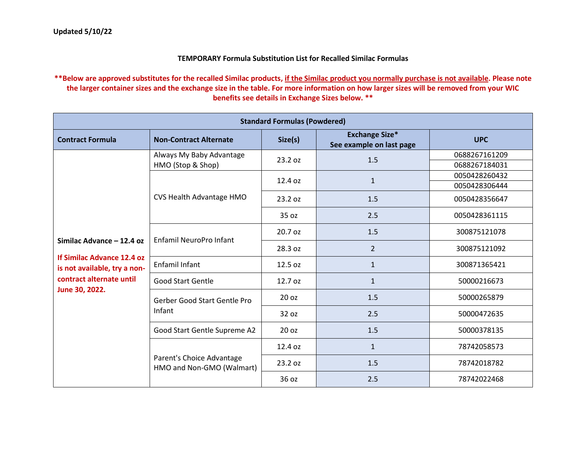## **TEMPORARY Formula Substitution List for Recalled Similac Formulas**

## **\*\*Below are approved substitutes for the recalled Similac products, if the Similac product you normally purchase is not available. Please note the larger container sizes and the exchange size in the table. For more information on how larger sizes will be removed from your WIC benefits see details in Exchange Sizes below. \*\***

| <b>Standard Formulas (Powdered)</b>                                                                                                   |                                                        |         |                                                   |               |  |  |
|---------------------------------------------------------------------------------------------------------------------------------------|--------------------------------------------------------|---------|---------------------------------------------------|---------------|--|--|
| <b>Contract Formula</b>                                                                                                               | <b>Non-Contract Alternate</b>                          | Size(s) | <b>Exchange Size*</b><br>See example on last page | <b>UPC</b>    |  |  |
|                                                                                                                                       | Always My Baby Advantage                               | 23.2 oz | 1.5                                               | 0688267161209 |  |  |
|                                                                                                                                       | HMO (Stop & Shop)                                      |         |                                                   | 0688267184031 |  |  |
|                                                                                                                                       |                                                        | 12.4 oz | $\mathbf{1}$                                      | 0050428260432 |  |  |
|                                                                                                                                       |                                                        |         |                                                   | 0050428306444 |  |  |
|                                                                                                                                       | CVS Health Advantage HMO                               | 23.2 oz | 1.5                                               | 0050428356647 |  |  |
|                                                                                                                                       |                                                        | 35 oz   | 2.5                                               | 0050428361115 |  |  |
| Similac Advance - 12.4 oz<br>If Similac Advance 12.4 oz<br>is not available, try a non-<br>contract alternate until<br>June 30, 2022. | <b>Enfamil NeuroPro Infant</b>                         | 20.7 oz | 1.5                                               | 300875121078  |  |  |
|                                                                                                                                       |                                                        | 28.3 oz | $\overline{2}$                                    | 300875121092  |  |  |
|                                                                                                                                       | Enfamil Infant                                         | 12.5 oz | $\mathbf{1}$                                      | 300871365421  |  |  |
|                                                                                                                                       | <b>Good Start Gentle</b>                               | 12.7 oz | $\mathbf{1}$                                      | 50000216673   |  |  |
|                                                                                                                                       | Gerber Good Start Gentle Pro<br>Infant                 | 20 oz   | 1.5                                               | 50000265879   |  |  |
|                                                                                                                                       |                                                        | 32 oz   | 2.5                                               | 50000472635   |  |  |
|                                                                                                                                       | Good Start Gentle Supreme A2                           | 20 oz   | 1.5                                               | 50000378135   |  |  |
|                                                                                                                                       | Parent's Choice Advantage<br>HMO and Non-GMO (Walmart) | 12.4 oz | $\mathbf{1}$                                      | 78742058573   |  |  |
|                                                                                                                                       |                                                        | 23.2 oz | 1.5                                               | 78742018782   |  |  |
|                                                                                                                                       |                                                        | 36 oz   | 2.5                                               | 78742022468   |  |  |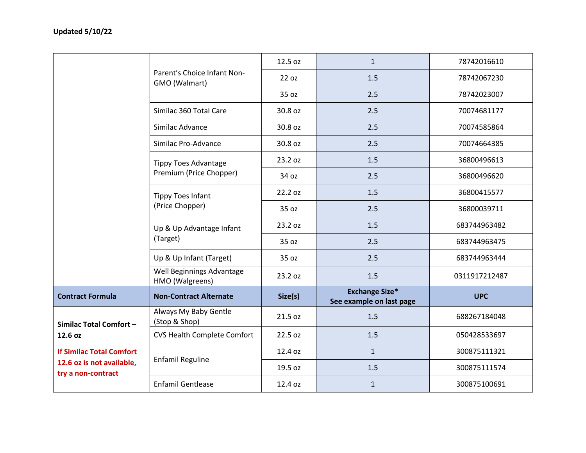|                                                                                               |                                              | 12.5 oz | $\mathbf{1}$                                      | 78742016610   |
|-----------------------------------------------------------------------------------------------|----------------------------------------------|---------|---------------------------------------------------|---------------|
|                                                                                               | Parent's Choice Infant Non-<br>GMO (Walmart) | 22 oz   | 1.5                                               | 78742067230   |
|                                                                                               |                                              | 35 oz   | 2.5                                               | 78742023007   |
|                                                                                               | Similac 360 Total Care                       | 30.8 oz | 2.5                                               | 70074681177   |
|                                                                                               | Similac Advance                              | 30.8 oz | 2.5                                               | 70074585864   |
|                                                                                               | Similac Pro-Advance                          | 30.8 oz | 2.5                                               | 70074664385   |
|                                                                                               | <b>Tippy Toes Advantage</b>                  | 23.2 oz | 1.5                                               | 36800496613   |
|                                                                                               | Premium (Price Chopper)                      | 34 oz   | 2.5                                               | 36800496620   |
|                                                                                               | <b>Tippy Toes Infant</b>                     | 22.2 oz | 1.5                                               | 36800415577   |
|                                                                                               | (Price Chopper)                              | 35 oz   | 2.5                                               | 36800039711   |
|                                                                                               | Up & Up Advantage Infant<br>(Target)         | 23.2 oz | 1.5                                               | 683744963482  |
|                                                                                               |                                              | 35 oz   | 2.5                                               | 683744963475  |
|                                                                                               | Up & Up Infant (Target)                      | 35 oz   | 2.5                                               | 683744963444  |
|                                                                                               | Well Beginnings Advantage<br>HMO (Walgreens) | 23.2 oz | 1.5                                               | 0311917212487 |
| <b>Contract Formula</b>                                                                       | <b>Non-Contract Alternate</b>                | Size(s) | <b>Exchange Size*</b><br>See example on last page | <b>UPC</b>    |
| Similac Total Comfort-                                                                        | Always My Baby Gentle<br>(Stop & Shop)       | 21.5 oz | 1.5                                               | 688267184048  |
| 12.6 oz<br><b>If Similac Total Comfort</b><br>12.6 oz is not available,<br>try a non-contract | <b>CVS Health Complete Comfort</b>           | 22.5 oz | 1.5                                               | 050428533697  |
|                                                                                               | <b>Enfamil Reguline</b>                      | 12.4 oz | $\mathbf{1}$                                      | 300875111321  |
|                                                                                               |                                              | 19.5 oz | 1.5                                               | 300875111574  |
|                                                                                               | <b>Enfamil Gentlease</b>                     | 12.4 oz | $\mathbf{1}$                                      | 300875100691  |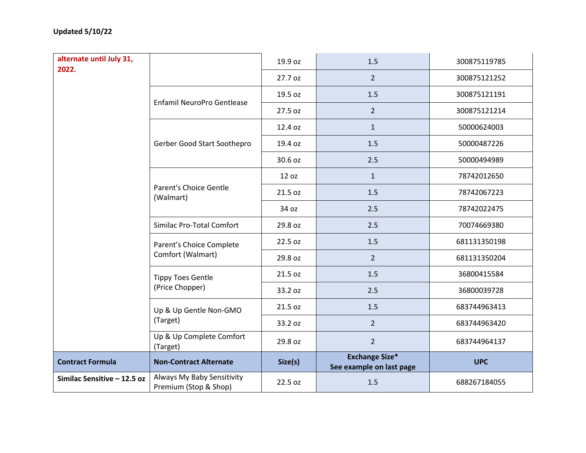| alternate until July 31,<br>2022. |                                                     | 19.9 oz | 1.5                                               | 300875119785 |  |
|-----------------------------------|-----------------------------------------------------|---------|---------------------------------------------------|--------------|--|
|                                   |                                                     | 27.7 oz | $2^{\circ}$                                       | 300875121252 |  |
|                                   |                                                     | 19.5 oz | 1.5                                               | 300875121191 |  |
|                                   | Enfamil NeuroPro Gentlease                          | 27.5 oz | $\overline{2}$                                    | 300875121214 |  |
|                                   |                                                     | 12.4 oz | $\mathbf{1}$                                      | 50000624003  |  |
|                                   | Gerber Good Start Soothepro                         | 19.4 oz | 1.5                                               | 50000487226  |  |
|                                   |                                                     | 30.6 oz | 2.5                                               | 50000494989  |  |
|                                   |                                                     | 12 oz   | $\mathbf{1}$                                      | 78742012650  |  |
|                                   | <b>Parent's Choice Gentle</b><br>(Walmart)          | 21.5 oz | 1.5                                               | 78742067223  |  |
|                                   |                                                     | 34 oz   | 2.5                                               | 78742022475  |  |
|                                   | Similac Pro-Total Comfort                           | 29.8 oz | 2.5                                               | 70074669380  |  |
|                                   | Parent's Choice Complete<br>Comfort (Walmart)       | 22.5 oz | 1.5                                               | 681131350198 |  |
|                                   |                                                     | 29.8 oz | $\overline{2}$                                    | 681131350204 |  |
|                                   | <b>Tippy Toes Gentle</b><br>(Price Chopper)         | 21.5 oz | 1.5                                               | 36800415584  |  |
|                                   |                                                     | 33.2 oz | 2.5                                               | 36800039728  |  |
|                                   | Up & Up Gentle Non-GMO<br>(Target)                  | 21.5 oz | 1.5                                               | 683744963413 |  |
|                                   |                                                     | 33.2 oz | $\overline{2}$                                    | 683744963420 |  |
|                                   | Up & Up Complete Comfort<br>(Target)                | 29.8 oz | $\overline{2}$                                    | 683744964137 |  |
| <b>Contract Formula</b>           | <b>Non-Contract Alternate</b>                       | Size(s) | <b>Exchange Size*</b><br>See example on last page | <b>UPC</b>   |  |
| Similac Sensitive - 12.5 oz       | Always My Baby Sensitivity<br>Premium (Stop & Shop) | 22.5 oz | 1.5                                               | 688267184055 |  |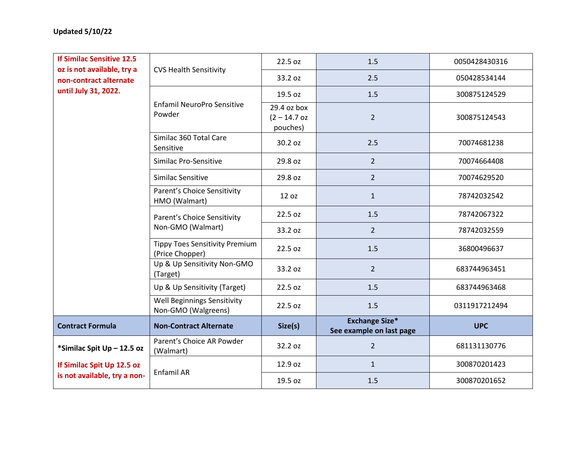| <b>If Similac Sensitive 12.5</b>                     |                                                           | 22.5 oz                                   | 1.5                                               | 0050428430316 |  |
|------------------------------------------------------|-----------------------------------------------------------|-------------------------------------------|---------------------------------------------------|---------------|--|
| oz is not available, try a<br>non-contract alternate | <b>CVS Health Sensitivity</b>                             | 33.2 oz                                   | 2.5                                               | 050428534144  |  |
| until July 31, 2022.                                 |                                                           | 19.5 oz                                   | 1.5                                               | 300875124529  |  |
|                                                      | Enfamil NeuroPro Sensitive<br>Powder                      | 29.4 oz box<br>$(2 - 14.7$ oz<br>pouches) | $\overline{2}$                                    | 300875124543  |  |
|                                                      | Similac 360 Total Care<br>Sensitive                       | 30.2 oz                                   | 2.5                                               | 70074681238   |  |
|                                                      | Similac Pro-Sensitive                                     | 29.8 oz                                   | $2^{\circ}$                                       | 70074664408   |  |
|                                                      | Similac Sensitive                                         | 29.8 oz                                   | $\overline{2}$                                    | 70074629520   |  |
|                                                      | Parent's Choice Sensitivity<br>HMO (Walmart)              | 12 oz                                     | $\mathbf{1}$                                      | 78742032542   |  |
|                                                      | Parent's Choice Sensitivity<br>Non-GMO (Walmart)          | 22.5 oz                                   | 1.5                                               | 78742067322   |  |
|                                                      |                                                           | 33.2 oz                                   | $2^{\circ}$                                       | 78742032559   |  |
|                                                      | <b>Tippy Toes Sensitivity Premium</b><br>(Price Chopper)  | 22.5 oz                                   | 1.5                                               | 36800496637   |  |
|                                                      | Up & Up Sensitivity Non-GMO<br>(Target)                   | 33.2 oz                                   | $2^{\circ}$                                       | 683744963451  |  |
|                                                      | Up & Up Sensitivity (Target)                              | 22.5 oz                                   | 1.5                                               | 683744963468  |  |
|                                                      | <b>Well Beginnings Sensitivity</b><br>Non-GMO (Walgreens) | 22.5 oz                                   | 1.5                                               | 0311917212494 |  |
| <b>Contract Formula</b>                              | <b>Non-Contract Alternate</b>                             | Size(s)                                   | <b>Exchange Size*</b><br>See example on last page | <b>UPC</b>    |  |
| *Similac Spit Up - 12.5 oz                           | Parent's Choice AR Powder<br>(Walmart)                    | 32.2 oz                                   | $\overline{2}$                                    | 681131130776  |  |
| If Similac Spit Up 12.5 oz                           | Enfamil AR                                                | 12.9 oz                                   | $\mathbf{1}$                                      | 300870201423  |  |
| is not available, try a non-                         |                                                           | 19.5 oz                                   | 1.5                                               | 300870201652  |  |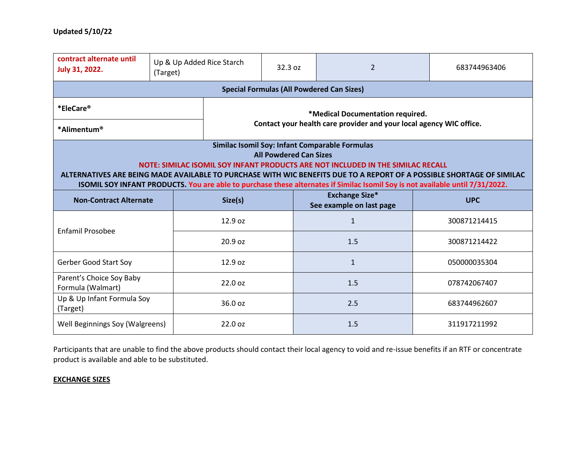| contract alternate until<br><b>July 31, 2022.</b>                                                                                                                                                                                                                                                                                                                                                                            | Up & Up Added Rice Starch<br>(Target)                               |         | 32.3 oz | 2                                                 | 683744963406 |  |  |
|------------------------------------------------------------------------------------------------------------------------------------------------------------------------------------------------------------------------------------------------------------------------------------------------------------------------------------------------------------------------------------------------------------------------------|---------------------------------------------------------------------|---------|---------|---------------------------------------------------|--------------|--|--|
| <b>Special Formulas (All Powdered Can Sizes)</b>                                                                                                                                                                                                                                                                                                                                                                             |                                                                     |         |         |                                                   |              |  |  |
| *EleCare®                                                                                                                                                                                                                                                                                                                                                                                                                    | *Medical Documentation required.                                    |         |         |                                                   |              |  |  |
| *Alimentum®                                                                                                                                                                                                                                                                                                                                                                                                                  | Contact your health care provider and your local agency WIC office. |         |         |                                                   |              |  |  |
| Similac Isomil Soy: Infant Comparable Formulas<br><b>All Powdered Can Sizes</b><br>NOTE: SIMILAC ISOMIL SOY INFANT PRODUCTS ARE NOT INCLUDED IN THE SIMILAC RECALL<br>ALTERNATIVES ARE BEING MADE AVAILABLE TO PURCHASE WITH WIC BENEFITS DUE TO A REPORT OF A POSSIBLE SHORTAGE OF SIMILAC<br>ISOMIL SOY INFANT PRODUCTS. You are able to purchase these alternates if Similac Isomil Soy is not available until 7/31/2022. |                                                                     |         |         |                                                   |              |  |  |
| <b>Non-Contract Alternate</b>                                                                                                                                                                                                                                                                                                                                                                                                |                                                                     | Size(s) |         | <b>Exchange Size*</b><br>See example on last page | <b>UPC</b>   |  |  |
| Enfamil Prosobee                                                                                                                                                                                                                                                                                                                                                                                                             |                                                                     | 12.9 oz |         | $\mathbf{1}$                                      | 300871214415 |  |  |
|                                                                                                                                                                                                                                                                                                                                                                                                                              |                                                                     | 20.9 oz |         | 1.5                                               | 300871214422 |  |  |
| <b>Gerber Good Start Soy</b>                                                                                                                                                                                                                                                                                                                                                                                                 |                                                                     | 12.9 oz |         | $\mathbf{1}$                                      | 050000035304 |  |  |
| Parent's Choice Soy Baby<br>Formula (Walmart)                                                                                                                                                                                                                                                                                                                                                                                |                                                                     | 22.0 oz |         | 1.5                                               | 078742067407 |  |  |
| Up & Up Infant Formula Soy<br>(Target)                                                                                                                                                                                                                                                                                                                                                                                       | 36.0 oz                                                             |         |         | 2.5                                               | 683744962607 |  |  |
| 22.0 oz<br>Well Beginnings Soy (Walgreens)                                                                                                                                                                                                                                                                                                                                                                                   |                                                                     |         | 1.5     | 311917211992                                      |              |  |  |

Participants that are unable to find the above products should contact their local agency to void and re-issue benefits if an RTF or concentrate product is available and able to be substituted.

## **EXCHANGE SIZES**